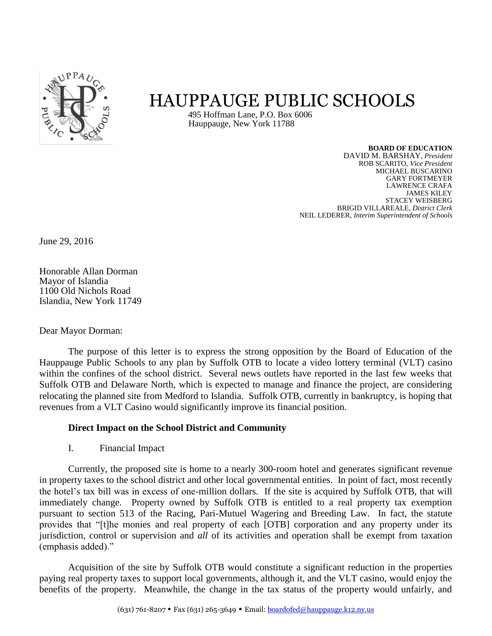

## HAUPPAUGE PUBLIC SCHOOLS

 495 Hoffman Lane, P.O. Box 6006 Hauppauge, New York 11788

> **BOARD OF EDUCATION** DAVID M. BARSHAY, *President*  ROB SCARITO, *Vice President* MICHAEL BUSCARINO GARY FORTMEYER LAWRENCE CRAFA JAMES KILEY STACEY WEISBERG BRIGID VILLAREALE, *District Clerk* NEIL LEDERER, *Interim Superintendent of Schools*

June 29, 2016

Honorable Allan Dorman Mayor of Islandia 1100 Old Nichols Road Islandia, New York 11749

Dear Mayor Dorman:

The purpose of this letter is to express the strong opposition by the Board of Education of the Hauppauge Public Schools to any plan by Suffolk OTB to locate a video lottery terminal (VLT) casino within the confines of the school district. Several news outlets have reported in the last few weeks that Suffolk OTB and Delaware North, which is expected to manage and finance the project, are considering relocating the planned site from Medford to Islandia. Suffolk OTB, currently in bankruptcy, is hoping that revenues from a VLT Casino would significantly improve its financial position.

## **Direct Impact on the School District and Community**

I. Financial Impact

Currently, the proposed site is home to a nearly 300-room hotel and generates significant revenue in property taxes to the school district and other local governmental entities. In point of fact, most recently the hotel's tax bill was in excess of one-million dollars. If the site is acquired by Suffolk OTB, that will immediately change. Property owned by Suffolk OTB is entitled to a real property tax exemption pursuant to section 513 of the Racing, Pari-Mutuel Wagering and Breeding Law. In fact, the statute provides that "[t]he monies and real property of each [OTB] corporation and any property under its jurisdiction, control or supervision and *all* of its activities and operation shall be exempt from taxation (emphasis added)."

Acquisition of the site by Suffolk OTB would constitute a significant reduction in the properties paying real property taxes to support local governments, although it, and the VLT casino, would enjoy the benefits of the property. Meanwhile, the change in the tax status of the property would unfairly, and